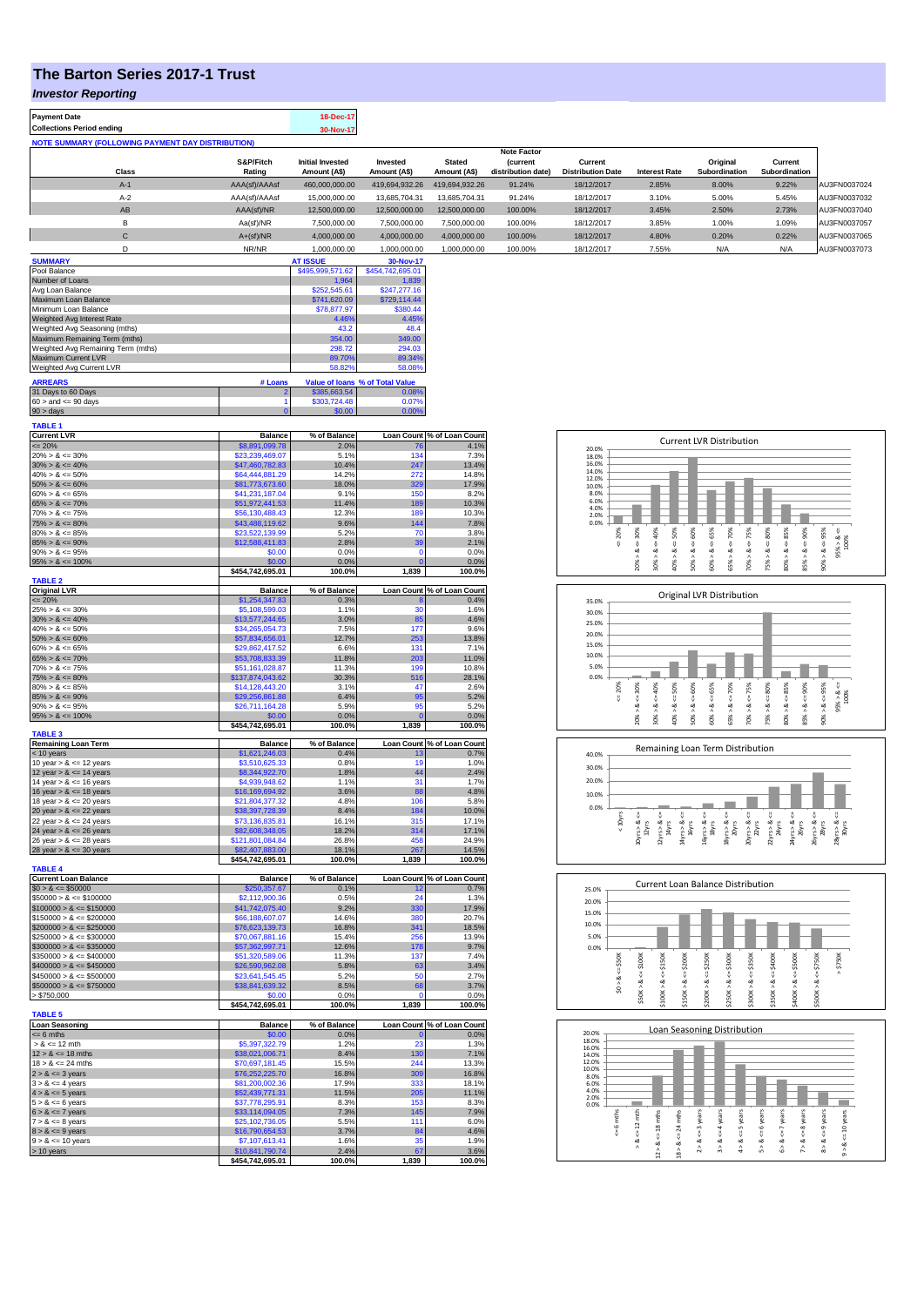## **The Barton Series 2017-1 Trust**

**Payment Date 18-Dec-17** 

*Investor Reporting*

| Collections Period ending                         | 30-Nov-17                               |                          |                        |                                       |                                     |                      |                           |                          |              |
|---------------------------------------------------|-----------------------------------------|--------------------------|------------------------|---------------------------------------|-------------------------------------|----------------------|---------------------------|--------------------------|--------------|
| NOTE SUMMARY (FOLLOWING PAYMENT DAY DISTRIBUTION) |                                         |                          |                        |                                       |                                     |                      |                           |                          |              |
|                                                   |                                         |                          |                        | Note Factor                           |                                     |                      |                           |                          |              |
| S&P/Fitch<br><b>Class</b><br>Rating               | <b>Initial Invested</b><br>Amount (A\$) | Invested<br>Amount (A\$) | Stated<br>Amount (A\$) | <i>(current</i><br>distribution date) | Current<br><b>Distribution Date</b> | <b>Interest Rate</b> | Original<br>Subordination | Current<br>Subordination |              |
|                                                   |                                         |                          |                        |                                       |                                     |                      |                           |                          |              |
| AAA(sf)/AAAsf<br>$A-1$                            | 460,000,000.00                          | 419,694,932.26           | 419.694.932.26         | 91.24%                                | 18/12/2017                          | 2.85%                | 8.00%                     | 9.22%                    | AU3FN0037024 |
| $A-2$<br>AAA(sf)/AAAsf                            | 15,000,000,00                           | 13.685.704.31            | 13.685.704.31          | 91.24%                                | 18/12/2017                          | 3.10%                | 5.00%                     | 5.45%                    | AU3FN0037032 |
| AB<br>AAA(sf)/NR                                  | 12,500,000.00                           | 12.500.000.00            | 12.500.000.00          | 100.00%                               | 18/12/2017                          | 3.45%                | 2.50%                     | 2.73%                    | AU3FN0037040 |
| B<br>Aa(sf)/NR                                    | 7.500.000.00                            | 7.500.000.00             | 7.500.000.00           | 100.00%                               | 18/12/2017                          | 3.85%                | 1.00%                     | 1.09%                    | AU3FN0037057 |
| $\mathsf{C}$<br>$A+(sf)/NR$                       | 4,000,000.00                            | 4,000,000.00             | 4,000,000.00           | 100.00%                               | 18/12/2017                          | 4.80%                | 0.20%                     | 0.22%                    | AU3FN0037065 |
| NR/NR                                             | 1,000,000.00                            | 1,000,000.00             | 1,000,000.00           | 100.00%                               | 18/12/2017                          | 7.55%                | N/A                       | N/A                      | AU3FN0037073 |

| <b>SUMMARY</b>                     |         | <b>AT ISSUE</b>  | 30-Nov-17                       |
|------------------------------------|---------|------------------|---------------------------------|
| Pool Balance                       |         | \$495,999,571.62 | \$454,742,695.01                |
| Number of Loans                    |         | 1.964            | 1,839                           |
| Avg Loan Balance                   |         | \$252,545.61     | \$247.277.16                    |
| Maximum Loan Balance               |         | \$741,620.09     | \$729.114.44                    |
| Minimum Loan Balance               |         | \$78,877.97      | \$380.44                        |
| Weighted Avg Interest Rate         |         | 4.46%            | 4.45%                           |
| Weighted Avg Seasoning (mths)      |         | 43.2             | 48.4                            |
| Maximum Remaining Term (mths)      |         | 354.00           | 349.00                          |
| Weighted Avg Remaining Term (mths) |         | 298.72           | 294.03                          |
| <b>Maximum Current LVR</b>         |         | 89.70%           | 89.34%                          |
| Weighted Avg Current LVR           |         | 58.82%           | 58.08%                          |
| <b>ARREARS</b>                     | # Loans |                  | Value of Ioans % of Total Value |
| 31 Days to 60 Days                 | 2.      | \$385,663.54     | 0.08%                           |
| $60 >$ and $\leq 90$ days          |         | \$303,724.48     | 0.07%                           |
| $90 >$ days                        | 0       | \$0.00           | 0.00%                           |

| <b>TABLE 1</b>                                           |                                     |                |             |                                                                                                                                                                                                                                                    |
|----------------------------------------------------------|-------------------------------------|----------------|-------------|----------------------------------------------------------------------------------------------------------------------------------------------------------------------------------------------------------------------------------------------------|
| <b>Current LVR</b>                                       | <b>Balance</b>                      | % of Balance   |             | Loan Count % of Loan Count                                                                                                                                                                                                                         |
| $= 20%$                                                  | \$8,891,099.78                      | 2.0%           | 76          | 4.1%                                                                                                                                                                                                                                               |
| $20\% > 8 \le 30\%$                                      | \$23,239,469.07                     | 5.1%           | 134         | 7.3%                                                                                                                                                                                                                                               |
| $30\% > 8 \le 40\%$<br>$40\% > 8 \le 50\%$               | \$47,460,782.83<br>\$64,444,881.29  | 10.4%<br>14.2% | 247<br>272  | 13.4%<br>14.8%                                                                                                                                                                                                                                     |
| $50\% > 8 \le 60\%$                                      | \$81,773,673.60                     | 18.0%          | 329         | 17.9%                                                                                                                                                                                                                                              |
| $60\% > 8 \le 65\%$                                      | \$41,231,187.04                     | 9.1%           | 150         | 8.2%                                                                                                                                                                                                                                               |
| $65\% > 8 \le 70\%$                                      | \$51,972,441.53                     | 11.4%          | 189         | 10.3%                                                                                                                                                                                                                                              |
| $70\% > 8 \le 75\%$                                      | \$56,130,488.43                     | 12.3%          | 189         | 10.3%                                                                                                                                                                                                                                              |
| $75\% > 8 \le 80\%$                                      | \$43,488,119.62                     | 9.6%           | 144         | 7.8%                                                                                                                                                                                                                                               |
| $80\% > 8 \le 85\%$                                      | \$23,522,139.99                     | 5.2%           | 70          | 3.8%                                                                                                                                                                                                                                               |
| $85\% > 8 \le 90\%$                                      | \$12,588,411.83                     | 2.8%           | 39          | 2.1%                                                                                                                                                                                                                                               |
| $90\% > 8 \le 95\%$                                      | \$0.00                              | 0.0%           | $\Omega$    | 0.0%                                                                                                                                                                                                                                               |
| $95\% > 8 \le 100\%$                                     | \$0.00                              | 0.0%           |             | 0.0%                                                                                                                                                                                                                                               |
| <b>TABLE 2</b>                                           | \$454,742,695.01                    | 100.0%         | 1,839       | 100.0%                                                                                                                                                                                                                                             |
| <b>Original LVR</b>                                      | <b>Balance</b>                      | % of Balance   |             | Loan Count % of Loan Count                                                                                                                                                                                                                         |
| $= 20%$                                                  | \$1,254,347.83                      | 0.3%           |             | 0.4%                                                                                                                                                                                                                                               |
| $25\% > 8 \le 30\%$                                      | \$5,108,599.03                      | 1.1%           | 30          | 1.6%                                                                                                                                                                                                                                               |
| $30\% > 8 \le 40\%$                                      | \$13,577,244.65                     | 3.0%           | 85          | 4.6%                                                                                                                                                                                                                                               |
| $40\% > 8 \le 50\%$                                      | \$34,265,054.73                     | 7.5%           | 177         | 9.6%                                                                                                                                                                                                                                               |
| $50\% > 8 \le 60\%$                                      | \$57,834,656.01                     | 12.7%          | 253         | 13.8%                                                                                                                                                                                                                                              |
| $60\% > 8 \le 65\%$                                      | \$29,862,417.52                     | 6.6%           | 131         | 7.1%                                                                                                                                                                                                                                               |
| $65\% > 8 \le 70\%$                                      | \$53,708,833.39                     | 11.8%          | 203         | 11.0%                                                                                                                                                                                                                                              |
| $70\% > 8 \le 75\%$                                      | \$51,161,028.87                     | 11.3%          | 199         | 10.8%                                                                                                                                                                                                                                              |
| $75\% > 8 \le 80\%$                                      | \$137,874,043.62                    | 30.3%          | 516         | 28.1%                                                                                                                                                                                                                                              |
| $80\% > 8 \le 85\%$                                      | \$14,128,443.20                     | 3.1%           | 47          | 2.6%                                                                                                                                                                                                                                               |
| $85\% > 8 \le 90\%$<br>$90\% > 8 \le 95\%$               | \$29,256,861.88<br>\$26,711,164.28  | 6.4%<br>5.9%   | 95<br>95    | 5.2%<br>5.2%                                                                                                                                                                                                                                       |
| $95\% > 8 \le 100\%$                                     | \$0.00                              | 0.0%           |             | 0.0%                                                                                                                                                                                                                                               |
|                                                          | \$454,742,695.01                    | 100.0%         | 1,839       | 100.0%                                                                                                                                                                                                                                             |
| <b>TABLE 3</b>                                           |                                     |                |             |                                                                                                                                                                                                                                                    |
| <b>Remaining Loan Term</b>                               | <b>Balance</b>                      | % of Balance   |             | Loan Count % of Loan Count                                                                                                                                                                                                                         |
| < 10 years                                               | \$1,621,246.03                      | 0.4%           | 13          | 0.7%                                                                                                                                                                                                                                               |
| 10 year $> 8 \le 12$ years                               | \$3,510,625.33                      | 0.8%           | 19          | 1.0%                                                                                                                                                                                                                                               |
| 12 year $> 8 \le 14$ years<br>14 year $> 8 \le 16$ years | \$8,344,922.70<br>\$4,939,948.62    | 1.8%<br>1.1%   | 44<br>31    | 2.4%<br>1.7%                                                                                                                                                                                                                                       |
| 16 year $> 8 \le 18$ years                               | \$16,169,694.92                     | 3.6%           | 88          | 4.8%                                                                                                                                                                                                                                               |
| 18 year $> 8 \le 20$ years                               | \$21,804,377.32                     | 4.8%           | 106         | 5.8%                                                                                                                                                                                                                                               |
| 20 year $> 8 \le 22$ years                               | \$38,397,728.39                     | 8.4%           | 184         | 10.0%                                                                                                                                                                                                                                              |
| 22 year $> 8 \le 24$ years                               | \$73,136,835.81                     | 16.1%          | 315         | 17.1%                                                                                                                                                                                                                                              |
| 24 year $> 8 \le 26$ years                               | \$82,608,348.05                     | 18.2%          | 314         | 17.1%                                                                                                                                                                                                                                              |
| 26 year $> 8 \le 28$ years                               | \$121,801,084.84                    | 26.8%          | 458         | 24.9%                                                                                                                                                                                                                                              |
| 28 year $> 8 \le 30$ years                               | \$82,407,883.00                     | 18.1%          | 267         | 14.5%                                                                                                                                                                                                                                              |
|                                                          | \$454,742,695.01                    | 100.0%         | 1,839       | 100.0%                                                                                                                                                                                                                                             |
| <b>TABLE 4</b>                                           |                                     |                |             |                                                                                                                                                                                                                                                    |
| <b>Current Loan Balance</b>                              | <b>Balance</b><br>\$250.357.67      | % of Balance   |             |                                                                                                                                                                                                                                                    |
| $$0 > 8 \le $50000$<br>$$50000 > 8 \le $100000$          |                                     |                |             |                                                                                                                                                                                                                                                    |
|                                                          |                                     | 0.1%           | 12          |                                                                                                                                                                                                                                                    |
|                                                          | \$2,112,900.36                      | 0.5%           | 24          |                                                                                                                                                                                                                                                    |
| $$100000 > 8 \le $150000$                                | \$41,742,075.40                     | 9.2%           | 330         |                                                                                                                                                                                                                                                    |
| $$150000 > 8 \le $200000$                                | \$66,188,607.07                     | 14.6%          | 380         |                                                                                                                                                                                                                                                    |
| $$200000 > 8 \le $250000$                                | \$76,623,139.73                     | 16.8%          | 341         |                                                                                                                                                                                                                                                    |
| $$250000 > 8 \le $300000$                                | \$70,067,881.16<br>\$57,362,997.71  | 15.4%<br>12.6% | 256<br>178  | 20.7%<br>13.9%                                                                                                                                                                                                                                     |
| $$300000 > 8 \le $350000$<br>$$350000 > 8 \le $400000$   | \$51,320,589.06                     | 11.3%          | 137         |                                                                                                                                                                                                                                                    |
| $$400000 > 8 \le $450000$                                | \$26,590,962.08                     | 5.8%           | 63          | 7.4%                                                                                                                                                                                                                                               |
| $$450000 > 8 \le $500000$                                | \$23,641,545.45                     | 5.2%           | 50          | 2.7%                                                                                                                                                                                                                                               |
| $$500000 > 8 \le $750000$                                | \$38,841,639.32                     | 8.5%           | 68          |                                                                                                                                                                                                                                                    |
| > \$750,000                                              | \$0.00                              | 0.0%           |             | 0.0%                                                                                                                                                                                                                                               |
|                                                          | \$454,742,695.01                    | 100.0%         | 1,839       |                                                                                                                                                                                                                                                    |
| <b>TABLE 5</b>                                           |                                     |                |             |                                                                                                                                                                                                                                                    |
| <b>Loan Seasoning</b>                                    | <b>Balance</b>                      | % of Balance   |             |                                                                                                                                                                                                                                                    |
| $= 6$ mths                                               | \$0.00                              | 0.0%           | 23          |                                                                                                                                                                                                                                                    |
| $> 8 \le 12$ mth                                         | \$5,397,322.79                      | 1.2%           |             |                                                                                                                                                                                                                                                    |
| $12 > 8 \le 18$ mths                                     | \$38,021,006.71                     | 8.4%           | 130<br>244  |                                                                                                                                                                                                                                                    |
| $18 > 8 \le 24$ mths                                     | \$70,697,181.45                     | 15.5%          |             |                                                                                                                                                                                                                                                    |
| $2 > 8 \le 3$ years<br>$3 > 8 \le 4$ years               | \$76,252,225.70<br>\$81,200,002.36  | 16.8%<br>17.9% | 309<br>333  |                                                                                                                                                                                                                                                    |
| $4 > 8 \le 5$ years                                      |                                     | 11.5%          | 205         |                                                                                                                                                                                                                                                    |
| $5 > 8 \le 6$ years                                      | \$52,439,771.31<br>\$37,778,295.91  | 8.3%           | 153         |                                                                                                                                                                                                                                                    |
| $6 > 8 \le 7$ years                                      | \$33,114,094.05                     | 7.3%           | 145         |                                                                                                                                                                                                                                                    |
| $7 > 8 \le 8$ years                                      | \$25,102,736.05                     | 5.5%           | 111         |                                                                                                                                                                                                                                                    |
| $8 > 8 \le 9$ years                                      | \$16,790,654.53                     | 3.7%           | 84          |                                                                                                                                                                                                                                                    |
| $9 > 8 \le 10$ years                                     | \$7,107,613.41                      | 1.6%           | 35          |                                                                                                                                                                                                                                                    |
| > 10 years                                               | \$10,841,790.74<br>\$454,742,695.01 | 2.4%<br>100.0% | 67<br>1,839 | Loan Count % of Loan Count<br>0.7%<br>1.3%<br>17.9%<br>18.5%<br>9.7%<br>3.4%<br>3.7%<br>100.0%<br>Loan Count % of Loan Count<br>0.0%<br>1.3%<br>7.1%<br>13.3%<br>16.8%<br>18.1%<br>11.1%<br>8.3%<br>7.9%<br>6.0%<br>4.6%<br>1.9%<br>3.6%<br>100.0% |

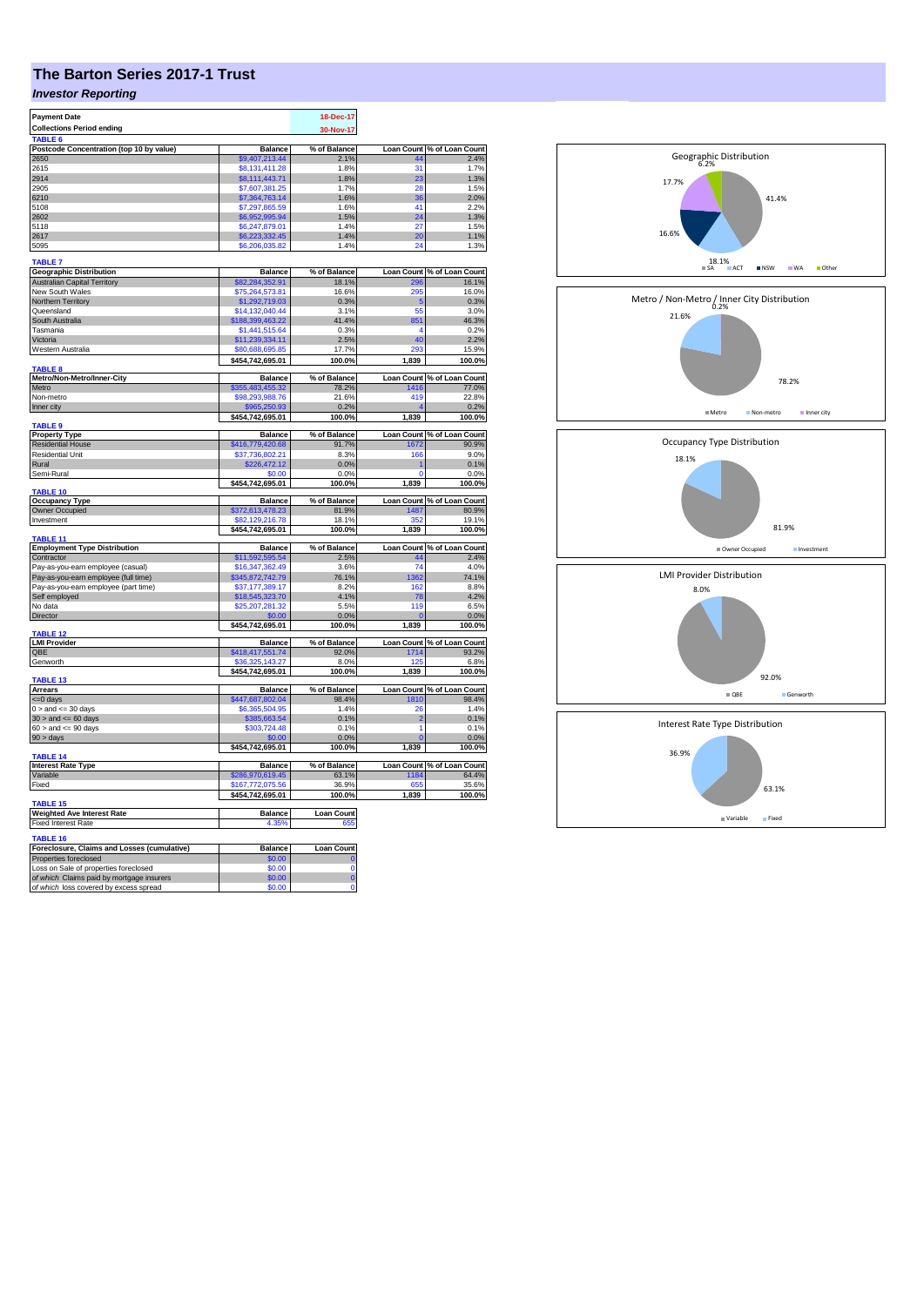## **The Barton Series 2017-1 Trust**

## *Investor Reporting*

| <b>Payment Date</b>                                                                 |                                    | 18-Dec-17             |                |                                     |
|-------------------------------------------------------------------------------------|------------------------------------|-----------------------|----------------|-------------------------------------|
| <b>Collections Period ending</b>                                                    |                                    | 30-Nov-17             |                |                                     |
| TABLE <sub>6</sub>                                                                  |                                    |                       |                |                                     |
| Postcode Concentration (top 10 by value)                                            | <b>Balance</b>                     | % of Balance          |                | Loan Count % of Loan Count          |
| 2650                                                                                | \$9,407,213.44                     | 2.1%                  | 44             | 2.4%                                |
| 2615<br>2914                                                                        | \$8,131,411.28<br>\$8,111,443.71   | 1.8%<br>1.8%          | 31<br>23       | 1.7%<br>1.3%                        |
| 2905                                                                                | \$7,607,381.25                     | 1.7%                  | 28             | 1.5%                                |
| 6210                                                                                | \$7,364,763.14                     | 1.6%                  | 36             | 2.0%                                |
| 5108                                                                                | \$7,297,865.59                     | 1.6%                  | 41             | 2.2%                                |
| 2602                                                                                | \$6,952,995.94                     | 1.5%                  | 24             | 1.3%                                |
| 5118                                                                                | \$6,247,879.01                     | 1.4%                  | 27             | 1.5%                                |
| 2617                                                                                | \$6,223,332.45                     | 1.4%                  | 20             | 1.1%                                |
| 5095                                                                                | \$6,206,035.82                     | 1.4%                  | 24             | 1.3%                                |
|                                                                                     |                                    |                       |                |                                     |
| <b>TABLE 7</b><br><b>Geographic Distribution</b>                                    | <b>Balance</b>                     | % of Balance          |                | Loan Count % of Loan Count          |
| <b>Australian Capital Territory</b>                                                 | 682,284,352.91                     | 18.1%                 |                | 16.1%                               |
| New South Wales                                                                     | \$75,264,573.81                    | 16.6%                 | 295            | 16.0%                               |
| Northern Territory                                                                  | \$1,292,719.03                     | 0.3%                  | 5              | 0.3%                                |
| Queensland                                                                          | \$14,132,040.44                    | 3.1%                  | 55             | 3.0%                                |
| South Australia                                                                     | \$188,399,463.22                   | 41.4%                 | 851            | 46.3%                               |
| Tasmania                                                                            | \$1,441,515.64                     | 0.3%                  | 4              | 0.2%                                |
| Victoria                                                                            | \$11,239,334.11                    | 2.5%                  | 40             | 2.2%                                |
| Western Australia                                                                   | \$80,688,695.85                    | 17.7%                 | 293            | 15.9%                               |
|                                                                                     | \$454,742,695.01                   | 100.0%                | 1,839          | 100.0%                              |
| TABLE 8                                                                             |                                    |                       |                |                                     |
| Metro/Non-Metro/Inner-City<br>Metro                                                 | <b>Balance</b><br>\$355,483,455.32 | % of Balance<br>78.2% | 1416           | Loan Count % of Loan Count          |
| Non-metro                                                                           | \$98,293,988.76                    | 21.6%                 | 419            | 77.0%<br>22.8%                      |
| Inner city                                                                          |                                    | 0.2%                  |                | 0.2%                                |
|                                                                                     | \$454,742,695.01                   | 100.0%                | 1,839          | 100.0%                              |
| <b>TABLE 9</b>                                                                      |                                    |                       |                |                                     |
| <b>Property Type</b>                                                                | <b>Balance</b>                     | % of Balance          |                | Loan Count % of Loan Count          |
| <b>Residential House</b>                                                            | \$416,779,420.68                   | 91.7%                 | 1672           | 90.9%                               |
| <b>Residential Unit</b>                                                             | \$37,736,802.21                    | 8.3%                  | 166            | 9.0%                                |
| Rural                                                                               | \$226,472.12                       | 0.0%                  |                | 0.1%                                |
| Semi-Rural                                                                          | \$0.00                             | 0.0%                  | $\overline{0}$ | 0.0%                                |
|                                                                                     | \$454,742,695.01                   | 100.0%                | 1,839          | 100.0%                              |
| TABLE 10                                                                            |                                    |                       |                |                                     |
| <b>Occupancy Type</b><br>Owner Occupied                                             | <b>Balance</b><br>\$372,613,478.23 | % of Balance<br>81.9% | 1487           | Loan Count % of Loan Count<br>80.9% |
| Investment                                                                          | \$82,129,216.78                    | 18.1%                 | 352            | 19.1%                               |
|                                                                                     | \$454,742,695.01                   | 100.0%                | 1,839          | 100.0%                              |
| TABLE 11                                                                            |                                    |                       |                |                                     |
| <b>Employment Type Distribution</b>                                                 | <b>Balance</b>                     | % of Balance          |                | Loan Count % of Loan Count          |
| Contractor                                                                          | \$11,592,595.54                    | 2.5%                  | 44             | 2.4%                                |
| Pay-as-you-earn employee (casual)                                                   | \$16,347,362.49                    | 3.6%                  | 74             | 4.0%                                |
| Pay-as-you-earn employee (full time)                                                | \$345,872,742.79                   | 76.1%                 | 1362           | 74.1%                               |
| Pay-as-you-earn employee (part time)                                                | \$37,177,389.17                    | 8.2%                  | 162            | 8.8%                                |
| Self employed                                                                       | \$18,545,323.70                    | 4.1%                  | 78             | 4.2%                                |
| No data                                                                             | \$25,207,281.32                    | 5.5%                  | 119            | 6.5%                                |
| Director                                                                            | \$0.00                             | 0.0%                  |                | 0.0%                                |
| TABLE <sub>12</sub>                                                                 | \$454,742,695.01                   | 100.0%                | 1,839          | 100.0%                              |
| <b>LMI Provider</b>                                                                 | <b>Balance</b>                     | % of Balance          |                | Loan Count % of Loan Count          |
| QBE                                                                                 | \$418,417,551.74                   | 92.0%                 | 1714           | 93.2%                               |
| Genworth                                                                            | \$36,325,143.27                    | 8.0%                  | 125            | 6.8%                                |
|                                                                                     | \$454,742,695.01                   | 100.0%                | 1,839          | 100.0%                              |
| <b>TABLE 13</b>                                                                     |                                    |                       |                |                                     |
| <b>Arrears</b>                                                                      | <b>Balance</b>                     | % of Balance          |                | Loan Count % of Loan Count          |
| $=0$ days                                                                           | \$447,687,802.04                   | 98.4%                 | 1810           | 98.4%                               |
| $0 >$ and $\leq$ 30 days                                                            | \$6,365,504.95                     | 1.4%                  | 26             | 1.4%                                |
| $30$ > and <= 60 days                                                               | \$385,663.54                       | 0.1%                  | $\overline{2}$ | 0.1%                                |
| $60$ > and <= $90$ days                                                             | \$303,724.48                       | 0.1%                  | 1<br>n         | 0.1%                                |
| 90 > days                                                                           | \$0.00<br>\$454,742,695.01         | 0.0%<br>100.0%        | 1,839          | 0.0%<br>100.0%                      |
| <b>TABLE 14</b>                                                                     |                                    |                       |                |                                     |
| <b>Interest Rate Type</b>                                                           | <b>Balance</b>                     | % of Balance          |                | Loan Count % of Loan Count          |
| Variable                                                                            | \$286,970,619.45                   | 63.1%                 | 1184           | 64.4%                               |
| Fixed                                                                               | \$167.772.075.56                   | 36.9%                 | 655            | 35.6%                               |
|                                                                                     | \$454,742,695.01                   | 100.0%                | 1,839          | 100.0%                              |
| <b>TABLE 15</b><br><b>Weighted Ave Interest Rate</b>                                | <b>Balance</b>                     | <b>Loan Count</b>     |                |                                     |
| <b>Fixed Interest Rate</b>                                                          | 4.35%                              | 655                   |                |                                     |
|                                                                                     |                                    |                       |                |                                     |
| TABLE 16                                                                            |                                    |                       |                |                                     |
| Foreclosure, Claims and Losses (cumulative)                                         | <b>Balance</b>                     | <b>Loan Count</b>     |                |                                     |
| Properties foreclosed                                                               | \$0.00                             | C                     |                |                                     |
| Loss on Sale of properties foreclosed                                               | \$0.00                             | $\overline{0}$        |                |                                     |
| of which Claims paid by mortgage insurers<br>of which loss covered by excess spread | \$0.00<br>\$0.00                   | Ō<br>$\overline{0}$   |                |                                     |
|                                                                                     |                                    |                       |                |                                     |